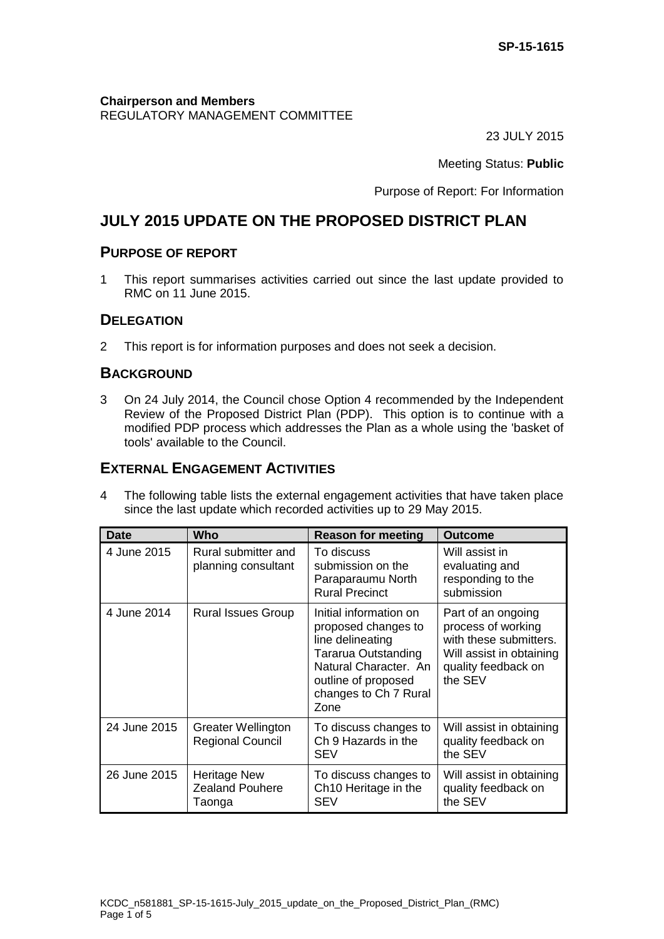#### **Chairperson and Members** REGULATORY MANAGEMENT COMMITTEE

23 JULY 2015

Meeting Status: **Public**

Purpose of Report: For Information

# **JULY 2015 UPDATE ON THE PROPOSED DISTRICT PLAN**

## **PURPOSE OF REPORT**

1 This report summarises activities carried out since the last update provided to RMC on 11 June 2015.

## **DELEGATION**

2 This report is for information purposes and does not seek a decision.

## **BACKGROUND**

3 On 24 July 2014, the Council chose Option 4 recommended by the Independent Review of the Proposed District Plan (PDP). This option is to continue with a modified PDP process which addresses the Plan as a whole using the 'basket of tools' available to the Council.

## **EXTERNAL ENGAGEMENT ACTIVITIES**

4 The following table lists the external engagement activities that have taken place since the last update which recorded activities up to 29 May 2015.

| <b>Date</b>  | Who                                                     | <b>Reason for meeting</b>                                                                                                                                                 | <b>Outcome</b>                                                                                                                   |
|--------------|---------------------------------------------------------|---------------------------------------------------------------------------------------------------------------------------------------------------------------------------|----------------------------------------------------------------------------------------------------------------------------------|
| 4 June 2015  | Rural submitter and<br>planning consultant              | To discuss<br>submission on the<br>Paraparaumu North<br><b>Rural Precinct</b>                                                                                             | Will assist in<br>evaluating and<br>responding to the<br>submission                                                              |
| 4 June 2014  | <b>Rural Issues Group</b>                               | Initial information on<br>proposed changes to<br>line delineating<br>Tararua Outstanding<br>Natural Character. An<br>outline of proposed<br>changes to Ch 7 Rural<br>Zone | Part of an ongoing<br>process of working<br>with these submitters.<br>Will assist in obtaining<br>quality feedback on<br>the SEV |
| 24 June 2015 | <b>Greater Wellington</b><br><b>Regional Council</b>    | To discuss changes to<br>Ch 9 Hazards in the<br>SEV                                                                                                                       | Will assist in obtaining<br>quality feedback on<br>the SEV                                                                       |
| 26 June 2015 | <b>Heritage New</b><br><b>Zealand Pouhere</b><br>Taonga | To discuss changes to<br>Ch <sub>10</sub> Heritage in the<br>SEV                                                                                                          | Will assist in obtaining<br>quality feedback on<br>the SEV                                                                       |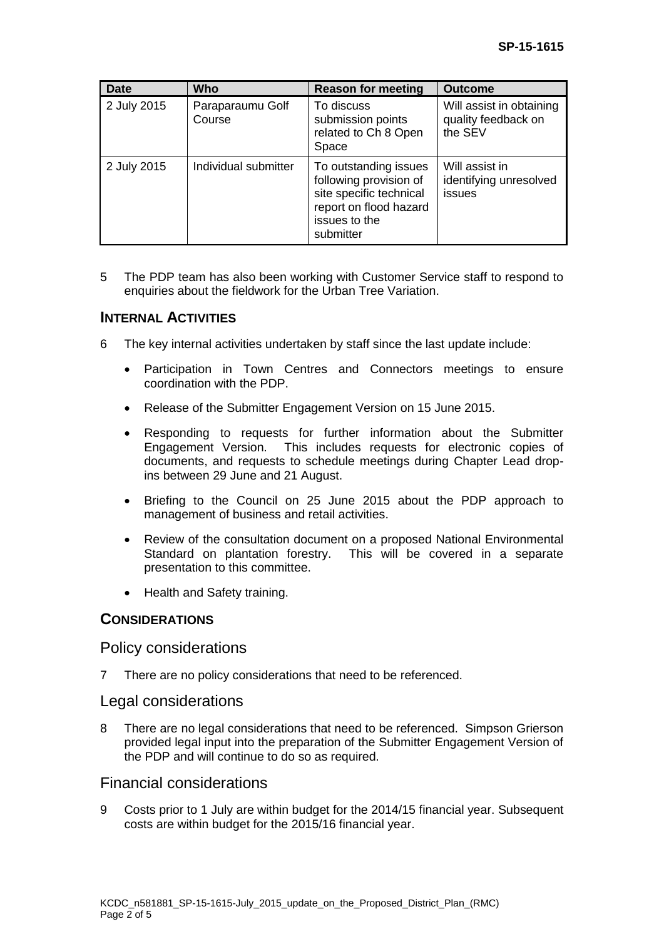| <b>Date</b> | Who                        | <b>Reason for meeting</b>                                                                                                          | <b>Outcome</b>                                             |
|-------------|----------------------------|------------------------------------------------------------------------------------------------------------------------------------|------------------------------------------------------------|
| 2 July 2015 | Paraparaumu Golf<br>Course | To discuss<br>submission points<br>related to Ch 8 Open<br>Space                                                                   | Will assist in obtaining<br>quality feedback on<br>the SEV |
| 2 July 2015 | Individual submitter       | To outstanding issues<br>following provision of<br>site specific technical<br>report on flood hazard<br>issues to the<br>submitter | Will assist in<br>identifying unresolved<br>issues         |

5 The PDP team has also been working with Customer Service staff to respond to enquiries about the fieldwork for the Urban Tree Variation.

## **INTERNAL ACTIVITIES**

- 6 The key internal activities undertaken by staff since the last update include:
	- Participation in Town Centres and Connectors meetings to ensure coordination with the PDP.
	- Release of the Submitter Engagement Version on 15 June 2015.
	- Responding to requests for further information about the Submitter Engagement Version. This includes requests for electronic copies of documents, and requests to schedule meetings during Chapter Lead dropins between 29 June and 21 August.
	- Briefing to the Council on 25 June 2015 about the PDP approach to management of business and retail activities.
	- Review of the consultation document on a proposed National Environmental Standard on plantation forestry. This will be covered in a separate presentation to this committee.
	- Health and Safety training.

#### **CONSIDERATIONS**

#### Policy considerations

7 There are no policy considerations that need to be referenced.

#### Legal considerations

8 There are no legal considerations that need to be referenced. Simpson Grierson provided legal input into the preparation of the Submitter Engagement Version of the PDP and will continue to do so as required.

## Financial considerations

9 Costs prior to 1 July are within budget for the 2014/15 financial year. Subsequent costs are within budget for the 2015/16 financial year.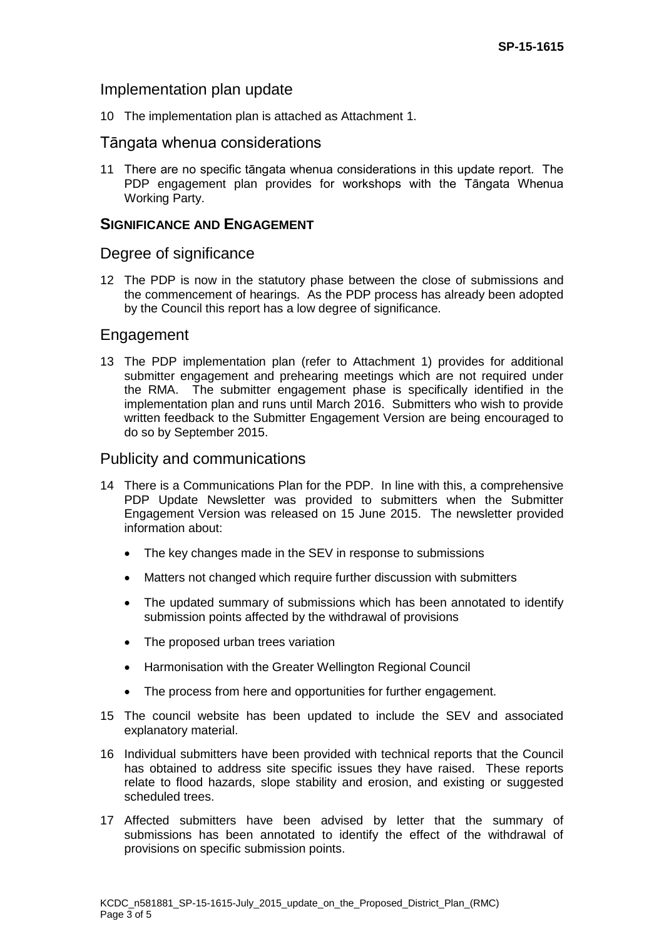#### Implementation plan update

10 The implementation plan is attached as Attachment 1.

#### Tāngata whenua considerations

11 There are no specific tāngata whenua considerations in this update report. The PDP engagement plan provides for workshops with the Tāngata Whenua Working Party.

#### **SIGNIFICANCE AND ENGAGEMENT**

#### Degree of significance

12 The PDP is now in the statutory phase between the close of submissions and the commencement of hearings. As the PDP process has already been adopted by the Council this report has a low degree of significance.

## Engagement

13 The PDP implementation plan (refer to Attachment 1) provides for additional submitter engagement and prehearing meetings which are not required under the RMA. The submitter engagement phase is specifically identified in the implementation plan and runs until March 2016. Submitters who wish to provide written feedback to the Submitter Engagement Version are being encouraged to do so by September 2015.

#### Publicity and communications

- 14 There is a Communications Plan for the PDP. In line with this, a comprehensive PDP Update Newsletter was provided to submitters when the Submitter Engagement Version was released on 15 June 2015. The newsletter provided information about:
	- The key changes made in the SEV in response to submissions
	- Matters not changed which require further discussion with submitters
	- The updated summary of submissions which has been annotated to identify submission points affected by the withdrawal of provisions
	- The proposed urban trees variation
	- Harmonisation with the Greater Wellington Regional Council
	- The process from here and opportunities for further engagement.
- 15 The council website has been updated to include the SEV and associated explanatory material.
- 16 Individual submitters have been provided with technical reports that the Council has obtained to address site specific issues they have raised. These reports relate to flood hazards, slope stability and erosion, and existing or suggested scheduled trees.
- 17 Affected submitters have been advised by letter that the summary of submissions has been annotated to identify the effect of the withdrawal of provisions on specific submission points.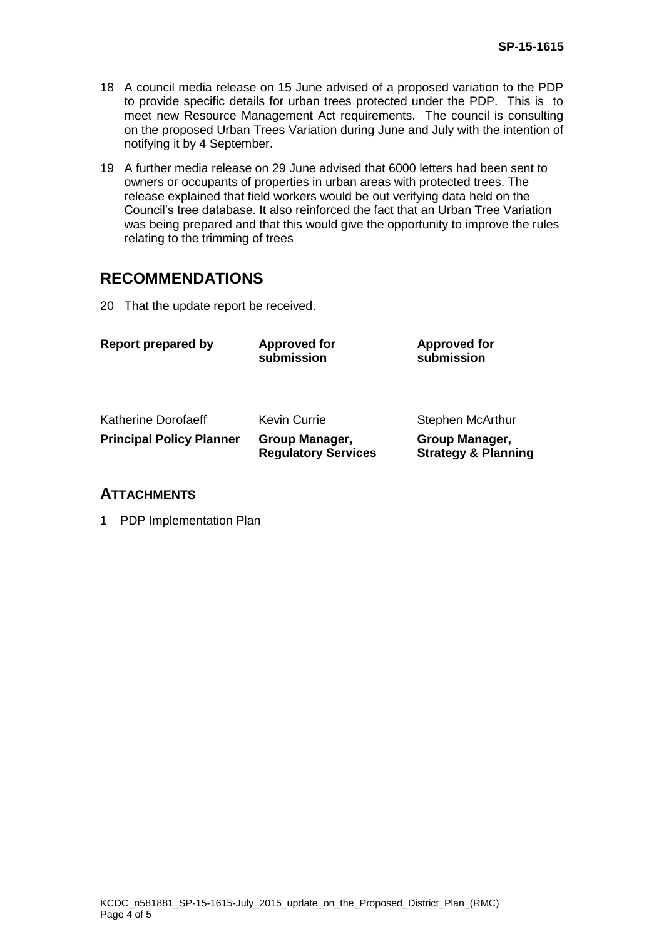- 18 A council media release on 15 June advised of a proposed variation to the PDP to provide specific details for urban trees protected under the PDP. This is to meet new Resource Management Act requirements. The council is consulting on the proposed Urban Trees Variation during June and July with the intention of notifying it by 4 September.
- 19 A further media release on 29 June advised that 6000 letters had been sent to owners or occupants of properties in urban areas with protected trees. The release explained that field workers would be out verifying data held on the Council's tree database. It also reinforced the fact that an Urban Tree Variation was being prepared and that this would give the opportunity to improve the rules relating to the trimming of trees

## **RECOMMENDATIONS**

20 That the update report be received.

| <b>Report prepared by</b>       | <b>Approved for</b><br>submission            | <b>Approved for</b><br>submission                |
|---------------------------------|----------------------------------------------|--------------------------------------------------|
| Katherine Dorofaeff             | <b>Kevin Currie</b>                          | <b>Stephen McArthur</b>                          |
| <b>Principal Policy Planner</b> | Group Manager,<br><b>Regulatory Services</b> | Group Manager,<br><b>Strategy &amp; Planning</b> |

## **ATTACHMENTS**

1 PDP Implementation Plan